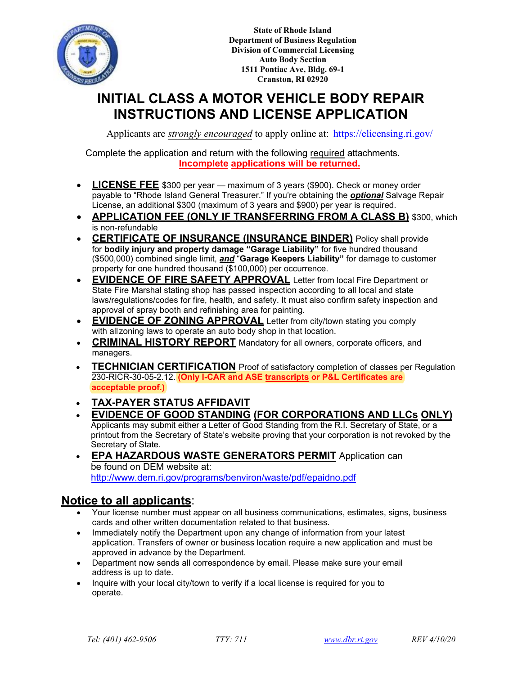

**State of Rhode Island Department of Business Regulation Division of Commercial Licensing Auto Body Section 1511 Pontiac Ave, Bldg. 69-1 Cranston, RI 02920**

# **INITIAL CLASS A MOTOR VEHICLE BODY REPAIR INSTRUCTIONS AND LICENSE APPLICATION**

Applicants are *strongly encouraged* to apply online at:<https://elicensing.ri.gov/>

Complete the application and return with the following required attachments. **Incomplete applications will be returned.**

- **LICENSE FEE** \$300 per year maximum of 3 years (\$900). Check or money order payable to "Rhode Island General Treasurer." If you're obtaining the *optional* Salvage Repair License, an additional \$300 (maximum of 3 years and \$900) per year is required.
- **APPLICATION FEE (ONLY IF TRANSFERRING FROM A CLASS B)** \$300, which is non-refundable
- **CERTIFICATE OF INSURANCE (INSURANCE BINDER)** Policy shall provide for **bodily injury and property damage "Garage Liability"** for five hundred thousand (\$500,000) combined single limit, *and* "**Garage Keepers Liability"** for damage to customer property for one hundred thousand (\$100,000) per occurrence.
- **EVIDENCE OF FIRE SAFETY APPROVAL** Letter from local Fire Department or State Fire Marshal stating shop has passed inspection according to all local and state laws/regulations/codes for fire, health, and safety. It must also confirm safety inspection and approval of spray booth and refinishing area for painting.
- **EVIDENCE OF ZONING APPROVAL** Letter from city/town stating you comply with allzoning laws to operate an auto body shop in that location.
- **CRIMINAL HISTORY REPORT** Mandatory for all owners, corporate officers, and managers.
- **TECHNICIAN CERTIFICATION** Proof of satisfactory completion of classes per Regulation 230-RICR-30-05-2.12. **(Only I-CAR and ASE transcripts or P&L Certificates are acceptable proof.)**
- **TAX-PAYER STATUS AFFIDAVIT**
- **EVIDENCE OF GOOD STANDING (FOR CORPORATIONS AND LLCs ONLY)** Applicants may submit either a Letter of Good Standing from the R.I. Secretary of State, or a printout from the Secretary of State's website proving that your corporation is not revoked by the Secretary of State.
- **EPA HAZARDOUS WASTE GENERATORS PERMIT** Application can be found on DEM website at: http://www.dem.ri.gov/programs/benviron/waste/pdf/epaidno.pdf

## **Notice to all applicants**:

- Your license number must appear on all business communications, estimates, signs, business cards and other written documentation related to that business.
- Immediately notify the Department upon any change of information from your latest application. Transfers of owner or business location require a new application and must be approved in advance by the Department.
- Department now sends all correspondence by email. Please make sure your email address is up to date.
- Inquire with your local city/town to verify if a local license is required for you to operate.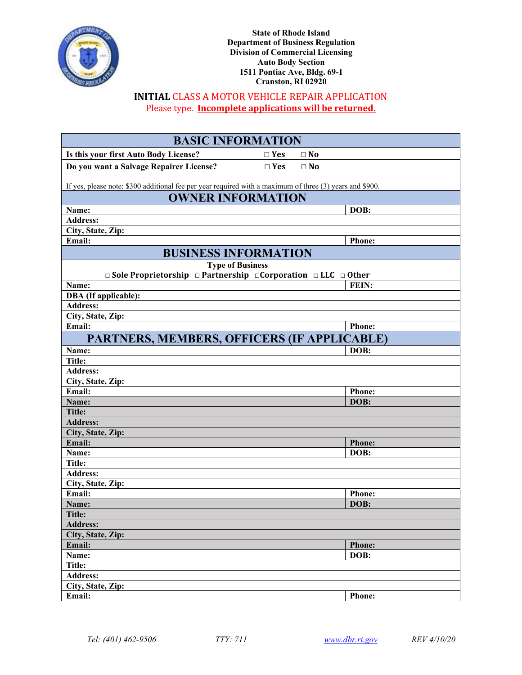

**State of Rhode Island Department of Business Regulation Division of Commercial Licensing Auto Body Section 1511 Pontiac Ave, Bldg. 69-1 Cranston, RI 02920**

### **INITIAL** CLASS A MOTOR VEHICLE REPAIR APPLICATION Please type. **Incomplete applications will be returned.**

| <b>BASIC INFORMATION</b>                                                                                            |            |                |  |  |  |
|---------------------------------------------------------------------------------------------------------------------|------------|----------------|--|--|--|
| Is this your first Auto Body License?                                                                               | $\Box$ Yes | $\Box$ No      |  |  |  |
| Do you want a Salvage Repairer License?                                                                             | $\Box$ Yes | $\square$ No   |  |  |  |
|                                                                                                                     |            |                |  |  |  |
| If yes, please note: \$300 additional fee per year required with a maximum of three (3) years and \$900.            |            |                |  |  |  |
| <b>OWNER INFORMATION</b>                                                                                            |            |                |  |  |  |
| Name:                                                                                                               |            | DOB:           |  |  |  |
| <b>Address:</b>                                                                                                     |            |                |  |  |  |
| City, State, Zip:<br>Email:                                                                                         |            | <b>Phone:</b>  |  |  |  |
|                                                                                                                     |            |                |  |  |  |
| <b>BUSINESS INFORMATION</b>                                                                                         |            |                |  |  |  |
| <b>Type of Business</b><br>$\Box$ Sole Proprietorship $\Box$ Partnership $\Box$ Corporation $\Box$ LLC $\Box$ Other |            |                |  |  |  |
| Name:                                                                                                               |            | FEIN:          |  |  |  |
| <b>DBA</b> (If applicable):                                                                                         |            |                |  |  |  |
| <b>Address:</b>                                                                                                     |            |                |  |  |  |
| City, State, Zip:                                                                                                   |            |                |  |  |  |
| Email:                                                                                                              |            | <b>Phone:</b>  |  |  |  |
| PARTNERS, MEMBERS, OFFICERS (IF APPLICABLE)                                                                         |            |                |  |  |  |
| Name:                                                                                                               |            | DOB:           |  |  |  |
| Title:                                                                                                              |            |                |  |  |  |
| <b>Address:</b>                                                                                                     |            |                |  |  |  |
| City, State, Zip:                                                                                                   |            |                |  |  |  |
| Email:                                                                                                              |            | <b>Phone:</b>  |  |  |  |
| Name:                                                                                                               |            | DOB:           |  |  |  |
| <b>Title:</b>                                                                                                       |            |                |  |  |  |
| <b>Address:</b>                                                                                                     |            |                |  |  |  |
| City, State, Zip:                                                                                                   |            |                |  |  |  |
| Email:                                                                                                              |            | <b>Phone:</b>  |  |  |  |
| Name:                                                                                                               |            | DOB:           |  |  |  |
| Title:                                                                                                              |            |                |  |  |  |
| <b>Address:</b>                                                                                                     |            |                |  |  |  |
| City, State, Zip:<br>Email:                                                                                         |            |                |  |  |  |
|                                                                                                                     |            | Phone:<br>DOB: |  |  |  |
| Name:<br>Title:                                                                                                     |            |                |  |  |  |
| <b>Address:</b>                                                                                                     |            |                |  |  |  |
| City, State, Zip:                                                                                                   |            |                |  |  |  |
| Email:                                                                                                              |            | <b>Phone:</b>  |  |  |  |
| Name:                                                                                                               |            | DOB:           |  |  |  |
| <b>Title:</b>                                                                                                       |            |                |  |  |  |
| <b>Address:</b>                                                                                                     |            |                |  |  |  |
| City, State, Zip:                                                                                                   |            |                |  |  |  |
| Email:                                                                                                              |            | <b>Phone:</b>  |  |  |  |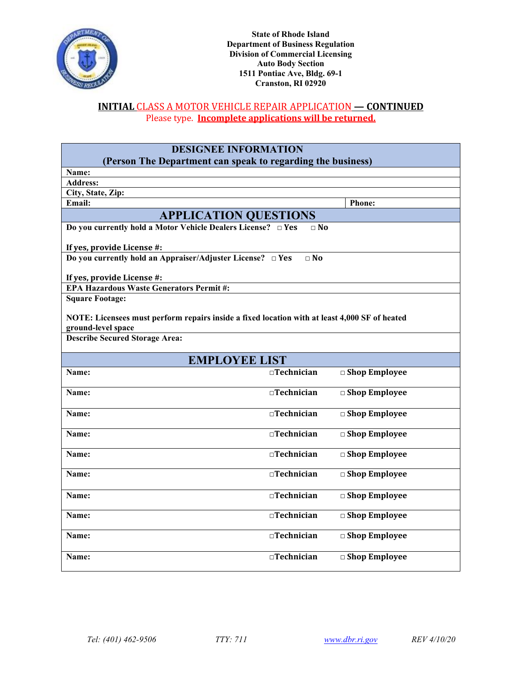

### **INITIAL** CLASS A MOTOR VEHICLE REPAIR APPLICATION **— CONTINUED** Please type. **Incomplete applications will be returned.**

| <b>DESIGNEE INFORMATION</b>                                                                   |                      |                         |  |  |
|-----------------------------------------------------------------------------------------------|----------------------|-------------------------|--|--|
| (Person The Department can speak to regarding the business)                                   |                      |                         |  |  |
| Name:                                                                                         |                      |                         |  |  |
| <b>Address:</b>                                                                               |                      |                         |  |  |
| City, State, Zip:<br>Email:                                                                   |                      |                         |  |  |
|                                                                                               |                      | <b>Phone:</b>           |  |  |
| <b>APPLICATION QUESTIONS</b>                                                                  |                      |                         |  |  |
| Do you currently hold a Motor Vehicle Dealers License? □ Yes                                  | $\sqcap$ No          |                         |  |  |
| If yes, provide License #:                                                                    |                      |                         |  |  |
| Do you currently hold an Appraiser/Adjuster License? $\Box$ Yes                               | $\Box$ No            |                         |  |  |
| If yes, provide License #:                                                                    |                      |                         |  |  |
| <b>EPA Hazardous Waste Generators Permit#:</b>                                                |                      |                         |  |  |
| <b>Square Footage:</b>                                                                        |                      |                         |  |  |
| NOTE: Licensees must perform repairs inside a fixed location with at least 4,000 SF of heated |                      |                         |  |  |
| ground-level space                                                                            |                      |                         |  |  |
| <b>Describe Secured Storage Area:</b>                                                         |                      |                         |  |  |
| <b>EMPLOYEE LIST</b>                                                                          |                      |                         |  |  |
| Name:                                                                                         | $\Box$ Technician    | □ Shop Employee         |  |  |
| Name:                                                                                         | $\Box$ Technician    | □ Shop Employee         |  |  |
| Name:                                                                                         | $\square$ Technician | $\Box$ Shop Employee    |  |  |
| Name:                                                                                         | $\Box$ Technician    | $\square$ Shop Employee |  |  |
|                                                                                               |                      |                         |  |  |
| Name:                                                                                         | $\square$ Technician | □ Shop Employee         |  |  |
| Name:                                                                                         | $\Box$ Technician    | □ Shop Employee         |  |  |
| Name:                                                                                         | $\square$ Technician | □ Shop Employee         |  |  |
| Name:                                                                                         | $\Box$ Technician    | □ Shop Employee         |  |  |
| Name:                                                                                         | $\Box$ Technician    | □ Shop Employee         |  |  |
| Name:                                                                                         | $\Box$ Technician    | $\square$ Shop Employee |  |  |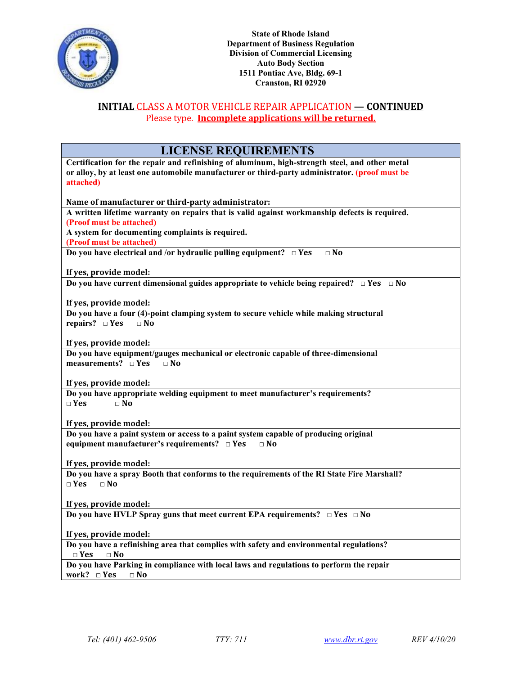

### **INITIAL** CLASS A MOTOR VEHICLE REPAIR APPLICATION **— CONTINUED** Please type. **Incomplete applications will be returned.**

| <b>LICENSE REQUIREMENTS</b>                                                                                                  |
|------------------------------------------------------------------------------------------------------------------------------|
| Certification for the repair and refinishing of aluminum, high-strength steel, and other metal                               |
| or alloy, by at least one automobile manufacturer or third-party administrator. (proof must be<br>attached)                  |
|                                                                                                                              |
| Name of manufacturer or third-party administrator:                                                                           |
| A written lifetime warranty on repairs that is valid against workmanship defects is required.                                |
| (Proof must be attached)<br>A system for documenting complaints is required.                                                 |
| (Proof must be attached)                                                                                                     |
| Do you have electrical and /or hydraulic pulling equipment? $\Box$ Yes<br>$\Box$ No                                          |
|                                                                                                                              |
| If yes, provide model:<br>Do you have current dimensional guides appropriate to vehicle being repaired? $\Box$ Yes $\Box$ No |
|                                                                                                                              |
| If yes, provide model:                                                                                                       |
| Do you have a four (4)-point clamping system to secure vehicle while making structural                                       |
| repairs? $\square$ Yes<br>$\Box$ No                                                                                          |
| If yes, provide model:                                                                                                       |
| Do you have equipment/gauges mechanical or electronic capable of three-dimensional                                           |
| measurements? $\square$ Yes<br>$\Box$ No                                                                                     |
| If yes, provide model:                                                                                                       |
| Do you have appropriate welding equipment to meet manufacturer's requirements?                                               |
| $\Box$ Yes<br>$\Box$ No                                                                                                      |
|                                                                                                                              |
| If yes, provide model:<br>Do you have a paint system or access to a paint system capable of producing original               |
| equipment manufacturer's requirements? $\Box$ Yes<br>$\Box$ No                                                               |
|                                                                                                                              |
| If yes, provide model:                                                                                                       |
| Do you have a spray Booth that conforms to the requirements of the RI State Fire Marshall?<br>$\sqcap$ Yes<br>$\Box$ No      |
|                                                                                                                              |
| If yes, provide model:                                                                                                       |
| Do you have HVLP Spray guns that meet current EPA requirements? $\Box$ Yes $\Box$ No                                         |
|                                                                                                                              |
| If yes, provide model:<br>Do you have a refinishing area that complies with safety and environmental regulations?            |
| $\Box$ Yes $\Box$ No                                                                                                         |
| Do you have Parking in compliance with local laws and regulations to perform the repair                                      |
| work? $\square$ Yes<br>$\Box$ No                                                                                             |